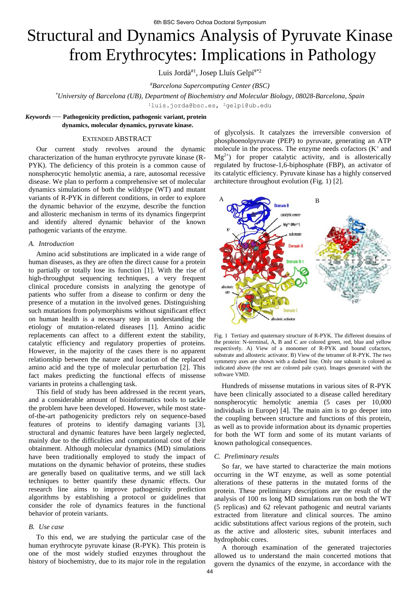# Structural and Dynamics Analysis of Pyruvate Kinase from Erythrocytes: Implications in Pathology

Luis Jordà<sup>#1</sup>, Josep Lluís Gelpí<sup>#\*2</sup>

*#Barcelona Supercomputing Center (BSC)* 

*\*University of Barcelona (UB), Department of Biochemistry and Molecular Biology, 08028-Barcelona, Spain* 

<sup>1</sup>luis.jorda@bsc.es, <sup>2</sup>gelpi@ub.edu

## *Keywords* — **Pathogenicity prediction, pathogenic variant, protein dynamics, molecular dynamics, pyruvate kinase.**

## EXTENDED ABSTRACT

Our current study revolves around the dynamic characterization of the human erythrocyte pyruvate kinase (R-PYK). The deficiency of this protein is a common cause of nonspherocytic hemolytic anemia, a rare, autosomal recessive disease. We plan to perform a comprehensive set of molecular dynamics simulations of both the wildtype (WT) and mutant variants of R-PYK in different conditions, in order to explore the dynamic behavior of the enzyme, describe the function and allosteric mechanism in terms of its dynamics fingerprint and identify altered dynamic behavior of the known pathogenic variants of the enzyme.

## *A. Introduction*

Amino acid substitutions are implicated in a wide range of human diseases, as they are often the direct cause for a protein to partially or totally lose its function [1]. With the rise of high-throughput sequencing techniques, a very frequent clinical procedure consists in analyzing the genotype of patients who suffer from a disease to confirm or deny the presence of a mutation in the involved genes. Distinguishing such mutations from polymorphisms without significant effect on human health is a necessary step in understanding the etiology of mutation-related diseases [1]. Amino acidic replacements can affect to a different extent the stability, catalytic efficiency and regulatory properties of proteins. However, in the majority of the cases there is no apparent relationship between the nature and location of the replaced amino acid and the type of molecular perturbation [2]. This fact makes predicting the functional effects of missense variants in proteins a challenging task.

This field of study has been addressed in the recent years, and a considerable amount of bioinformatics tools to tackle the problem have been developed. However, while most stateof-the-art pathogenicity predictors rely on sequence-based features of proteins to identify damaging variants [3], structural and dynamic features have been largely neglected, mainly due to the difficulties and computational cost of their obtainment. Although molecular dynamics (MD) simulations have been traditionally employed to study the impact of mutations on the dynamic behavior of proteins, these studies are generally based on qualitative terms, and we still lack techniques to better quantify these dynamic effects. Our research line aims to improve pathogenicity prediction algorithms by establishing a protocol or guidelines that consider the role of dynamics features in the functional behavior of protein variants.

## *B. Use case*

To this end, we are studying the particular case of the human erythrocyte pyruvate kinase (R-PYK). This protein is one of the most widely studied enzymes throughout the history of biochemistry, due to its major role in the regulation of glycolysis. It catalyzes the irreversible conversion of phosphoenolpyruvate (PEP) to pyruvate, generating an ATP molecule in the process. The enzyme needs cofactors  $(K^+)$  and  $Mg^{2+}$ ) for proper catalytic activity, and is allosterically regulated by fructose-1,6-biphosphate (FBP), an activator of its catalytic efficiency. Pyruvate kinase has a highly conserved architecture throughout evolution (Fig. 1) [2].



Fig. 1 Tertiary and quaternary structure of R-PYK. The different domains of the protein: N-terminal, A, B and C are colored green, red, blue and yellow respectively. A) View of a monomer of R-PYK and bound cofactors, substrate and allosteric activator. B) View of the tetramer of R-PYK. The two symmetry axes are shown with a dashed line. Only one subunit is colored as indicated above (the rest are colored pale cyan). Images generated with the software VMD.

Hundreds of missense mutations in various sites of R-PYK have been clinically associated to a disease called hereditary nonspherocytic hemolytic anemia (5 cases per 10,000 individuals in Europe) [4]. The main aim is to go deeper into the coupling between structure and functions of this protein, as well as to provide information about its dynamic properties for both the WT form and some of its mutant variants of known pathological consequences.

#### *C. Preliminary results*

So far, we have started to characterize the main motions occurring in the WT enzyme, as well as some potential alterations of these patterns in the mutated forms of the protein. These preliminary descriptions are the result of the analysis of 100 ns long MD simulations run on both the WT (5 replicas) and 62 relevant pathogenic and neutral variants extracted from literature and clinical sources. The amino acidic substitutions affect various regions of the protein, such as the active and allosteric sites, subunit interfaces and hydrophobic cores.

A thorough examination of the generated trajectories allowed us to understand the main concerted motions that govern the dynamics of the enzyme, in accordance with the